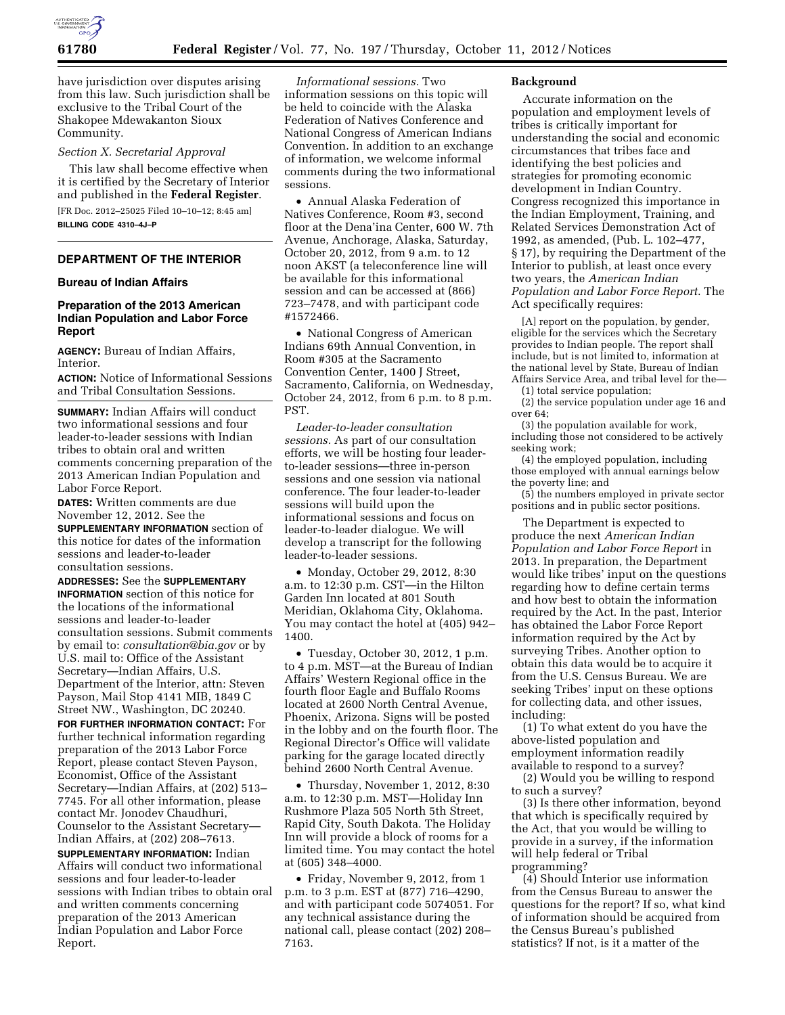

have jurisdiction over disputes arising from this law. Such jurisdiction shall be exclusive to the Tribal Court of the Shakopee Mdewakanton Sioux Community.

### *Section X. Secretarial Approval*

This law shall become effective when it is certified by the Secretary of Interior and published in the **Federal Register**. [FR Doc. 2012–25025 Filed 10–10–12; 8:45 am]

**BILLING CODE 4310–4J–P** 

# **DEPARTMENT OF THE INTERIOR**

### **Bureau of Indian Affairs**

## **Preparation of the 2013 American Indian Population and Labor Force Report**

**AGENCY:** Bureau of Indian Affairs, Interior.

**ACTION:** Notice of Informational Sessions and Tribal Consultation Sessions.

**SUMMARY:** Indian Affairs will conduct two informational sessions and four leader-to-leader sessions with Indian tribes to obtain oral and written comments concerning preparation of the 2013 American Indian Population and Labor Force Report.

**DATES:** Written comments are due November 12, 2012. See the **SUPPLEMENTARY INFORMATION** section of this notice for dates of the information sessions and leader-to-leader consultation sessions.

**ADDRESSES:** See the **SUPPLEMENTARY INFORMATION** section of this notice for the locations of the informational sessions and leader-to-leader consultation sessions. Submit comments by email to: *[consultation@bia.gov](mailto:consultation@bia.gov)* or by U.S. mail to: Office of the Assistant Secretary—Indian Affairs, U.S. Department of the Interior, attn: Steven Payson, Mail Stop 4141 MIB, 1849 C Street NW., Washington, DC 20240.

**FOR FURTHER INFORMATION CONTACT:** For further technical information regarding preparation of the 2013 Labor Force Report, please contact Steven Payson, Economist, Office of the Assistant Secretary—Indian Affairs, at (202) 513– 7745. For all other information, please contact Mr. Jonodev Chaudhuri, Counselor to the Assistant Secretary— Indian Affairs, at (202) 208–7613.

**SUPPLEMENTARY INFORMATION:** Indian Affairs will conduct two informational sessions and four leader-to-leader sessions with Indian tribes to obtain oral and written comments concerning preparation of the 2013 American Indian Population and Labor Force Report.

*Informational sessions.* Two information sessions on this topic will be held to coincide with the Alaska Federation of Natives Conference and National Congress of American Indians Convention. In addition to an exchange of information, we welcome informal comments during the two informational sessions.

• Annual Alaska Federation of Natives Conference, Room #3, second floor at the Dena'ina Center, 600 W. 7th Avenue, Anchorage, Alaska, Saturday, October 20, 2012, from 9 a.m. to 12 noon AKST (a teleconference line will be available for this informational session and can be accessed at (866) 723–7478, and with participant code #1572466.

• National Congress of American Indians 69th Annual Convention, in Room #305 at the Sacramento Convention Center, 1400 J Street, Sacramento, California, on Wednesday, October 24, 2012, from 6 p.m. to 8 p.m. PST.

*Leader-to-leader consultation sessions.* As part of our consultation efforts, we will be hosting four leaderto-leader sessions—three in-person sessions and one session via national conference. The four leader-to-leader sessions will build upon the informational sessions and focus on leader-to-leader dialogue. We will develop a transcript for the following leader-to-leader sessions.

• Monday, October 29, 2012, 8:30 a.m. to 12:30 p.m. CST—in the Hilton Garden Inn located at 801 South Meridian, Oklahoma City, Oklahoma. You may contact the hotel at (405) 942– 1400.

• Tuesday, October 30, 2012, 1 p.m. to 4 p.m. MST—at the Bureau of Indian Affairs' Western Regional office in the fourth floor Eagle and Buffalo Rooms located at 2600 North Central Avenue, Phoenix, Arizona. Signs will be posted in the lobby and on the fourth floor. The Regional Director's Office will validate parking for the garage located directly behind 2600 North Central Avenue.

• Thursday, November 1, 2012, 8:30 a.m. to 12:30 p.m. MST—Holiday Inn Rushmore Plaza 505 North 5th Street, Rapid City, South Dakota. The Holiday Inn will provide a block of rooms for a limited time. You may contact the hotel at (605) 348–4000.

• Friday, November 9, 2012, from 1 p.m. to 3 p.m. EST at (877) 716–4290, and with participant code 5074051. For any technical assistance during the national call, please contact (202) 208– 7163.

#### **Background**

Accurate information on the population and employment levels of tribes is critically important for understanding the social and economic circumstances that tribes face and identifying the best policies and strategies for promoting economic development in Indian Country. Congress recognized this importance in the Indian Employment, Training, and Related Services Demonstration Act of 1992, as amended, (Pub. L. 102–477, § 17), by requiring the Department of the Interior to publish, at least once every two years, the *American Indian Population and Labor Force Report*. The Act specifically requires:

[A] report on the population, by gender, eligible for the services which the Secretary provides to Indian people. The report shall include, but is not limited to, information at the national level by State, Bureau of Indian Affairs Service Area, and tribal level for the—

(1) total service population; (2) the service population under age 16 and over 64;

(3) the population available for work, including those not considered to be actively seeking work;

(4) the employed population, including those employed with annual earnings below the poverty line; and

(5) the numbers employed in private sector positions and in public sector positions.

The Department is expected to produce the next *American Indian Population and Labor Force Report* in 2013. In preparation, the Department would like tribes' input on the questions regarding how to define certain terms and how best to obtain the information required by the Act. In the past, Interior has obtained the Labor Force Report information required by the Act by surveying Tribes. Another option to obtain this data would be to acquire it from the U.S. Census Bureau. We are seeking Tribes' input on these options for collecting data, and other issues, including:

(1) To what extent do you have the above-listed population and employment information readily available to respond to a survey?

(2) Would you be willing to respond to such a survey?

(3) Is there other information, beyond that which is specifically required by the Act, that you would be willing to provide in a survey, if the information will help federal or Tribal programming?

(4) Should Interior use information from the Census Bureau to answer the questions for the report? If so, what kind of information should be acquired from the Census Bureau's published statistics? If not, is it a matter of the